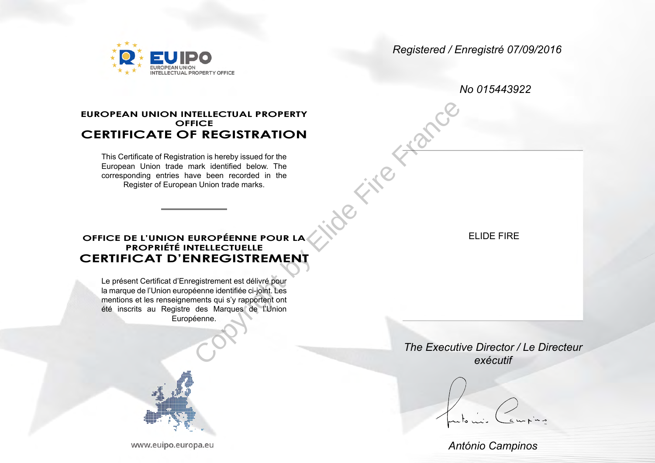NTELLECTUAL PROPERTY OFFICE

*Registered / Enregistré 07/09/2016*

*No 015443922*

# **EUROPEAN UNION INTELLECTUAL PROPERTY OFFICE CERTIFICATE OF REGISTRATION Co** Fire France

This Certificate of Registration is hereby issued for the European Union trade mark identified below. The corresponding entries have been recorded in the Register of European Union trade marks.

ELIDE FIRE

### **OFFICE DE L'UNION EUROPÉENNE POUR LA PROPRIÉTÉ INTELLECTUELLE CERTIFICAT D'ENREGISTREMENT**

Le présent Certificat d'Enregistrement est délivré pour la marque de l'Union européenne identifiée ci-joint. Les mentions et les renseignements qui s'y rapportent ont été inscrits au Registre des Marques de l'Union Européenne.



www.euipo.europa.eu

*The Executive Director / Le Directeur exécutif*

*António Campinos*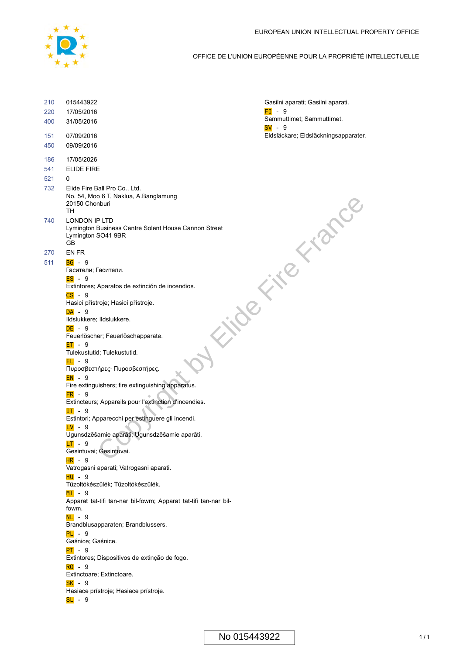

#### OFFICE DE L'UNION EUROPÉENNE POUR LA PROPRIÉTÉ INTELLECTUELLE

| 210 | 015443922                                                                                         | Gasilni aparati; Gasilni aparati.     |
|-----|---------------------------------------------------------------------------------------------------|---------------------------------------|
| 220 | 17/05/2016                                                                                        | $FI - 9$                              |
| 400 | 31/05/2016                                                                                        | Sammuttimet; Sammuttimet.<br>$SV - 9$ |
| 151 | 07/09/2016                                                                                        | Eldsläckare; Eldsläckningsapparater.  |
| 450 | 09/09/2016                                                                                        |                                       |
| 186 | 17/05/2026                                                                                        |                                       |
| 541 | <b>ELIDE FIRE</b>                                                                                 |                                       |
| 521 | 0                                                                                                 |                                       |
| 732 | Elide Fire Ball Pro Co., Ltd.<br>No. 54, Moo 6 T, Naklua, A.Banglamung<br>20150 Chonburi<br>TН    |                                       |
| 740 | LONDON IP LTD<br>Lymington Business Centre Solent House Cannon Street<br>Lymington SO41 9BR<br>GB | No                                    |
| 270 | EN FR                                                                                             |                                       |
| 511 | $BG - 9$                                                                                          |                                       |
|     | Гасители; Гасители.                                                                               |                                       |
|     | ES - 9<br>Extintores; Aparatos de extinción de incendios.                                         |                                       |
|     | $CS - 9$<br>Hasicí přístroje; Hasicí přístroje.                                                   |                                       |
|     | DA - 9                                                                                            |                                       |
|     | Ildslukkere; Ildslukkere.                                                                         |                                       |
|     | DE - 9<br>Feuerlöscher; Feuerlöschapparate.                                                       |                                       |
|     | $ET - 9$                                                                                          |                                       |
|     | Tulekustutid; Tulekustutid.                                                                       |                                       |
|     | $EL - 9$<br>Πυροσβεστήρες· Πυροσβεστήρες.                                                         |                                       |
|     | $EN - 9$<br>Fire extinguishers; fire extinguishing apparatus.                                     |                                       |
|     | $FR - 9$<br>Extincteurs; Appareils pour l'extinction d'incendies.                                 |                                       |
|     | $IT - 9$<br>Estintori; Apparecchi per estinguere gli incendi.                                     |                                       |
|     | <mark>LV</mark> - 9                                                                               |                                       |
|     | Ugunsdzēšamie aparāti; Ugunsdzēšamie aparāti.<br>$LT - 9$                                         |                                       |
|     | Gesintuvai; Gesintuvai.<br>$HR - 9$                                                               |                                       |
|     | Vatrogasni aparati; Vatrogasni aparati.                                                           |                                       |
|     | HU - 9<br>Tűzoltókészülék; Tűzoltókészülék.                                                       |                                       |
|     | <mark>MT</mark> - 9<br>Apparat tat-tifi tan-nar bil-fowm; Apparat tat-tifi tan-nar bil-<br>fowm.  |                                       |
|     | <mark>NL</mark> - 9<br>Brandblusapparaten; Brandblussers.                                         |                                       |
|     | <mark>PL</mark> - 9                                                                               |                                       |
|     | Gaśnice; Gaśnice.<br>PT - 9                                                                       |                                       |
|     | Extintores; Dispositivos de extinção de fogo.                                                     |                                       |
|     | <mark>RO</mark> - 9                                                                               |                                       |
|     | Extinctoare; Extinctoare.<br>SK - 9                                                               |                                       |
|     | Hasiace prístroje; Hasiace prístroje.                                                             |                                       |
|     | <mark>SL</mark> - 9                                                                               |                                       |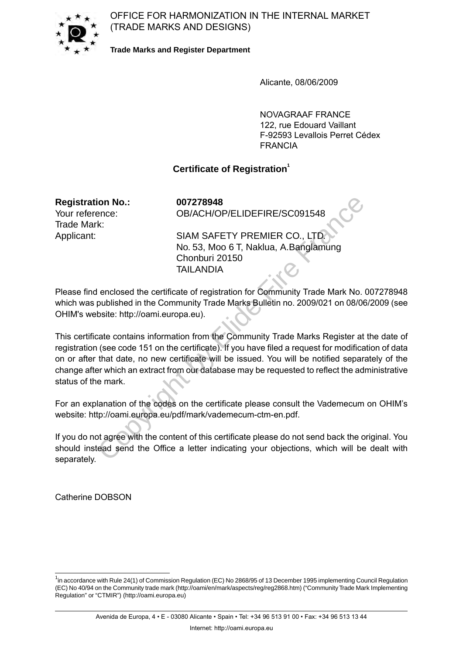OFFICE FOR HARMONIZATION IN THE INTERNAL MARKET (TRADE MARKS AND DESIGNS)



**Trade Marks and Register Department**

Alicante, 08/06/2009

NOVAGRAAF FRANCE 122, rue Edouard Vaillant F-92593 Levallois Perret Cédex FRANCIA

## **Certificate of Registration<sup>1</sup>**

**Registration No.: 007278948** Trade Mark:

Your reference: OB/ACH/OP/ELIDEFIRE/SC091548

Applicant: SIAM SAFETY PREMIER CO., LTD. No. 53, Moo 6 T, Naklua, A.Banglamung Chonburi 20150 TAII ANDIA

Please find enclosed the certificate of registration for Community Trade Mark No. 007278948 which was published in the Community Trade Marks Bulletin no. 2009/021 on 08/06/2009 (see OHIM's website: http://oami.europa.eu).

This certificate contains information from the Community Trade Marks Register at the date of registration (see code 151 on the certificate). If you have filed a request for modification of data on or after that date, no new certificate will be issued. You will be notified separately of the change after which an extract from our database may be requested to reflect the administrative status of the mark. ion No.: 007278948<br>
ence: 0B/ACH/OP/ELIDEFIRE/SC091548<br>
k: SIAM SAFETY PREMIER CO., LTD<br>
No. 53, Moo 6 T, Naklua, A.Banglamung<br>
Chonburi 20150<br>
TAILANDIA<br>
enclosed the certificate of registration for Community Trade Mark

For an explanation of the codes on the certificate please consult the Vademecum on OHIM's website: http://oami.europa.eu/pdf/mark/vademecum-ctm-en.pdf.

If you do not agree with the content of this certificate please do not send back the original. You should instead send the Office a letter indicating your objections, which will be dealt with separately.

Catherine DOBSON

<sup>&</sup>lt;sup>1</sup>in accordance with Rule 24(1) of Commission Regulation (EC) No 2868/95 of 13 December 1995 implementing Council Regulation (EC) No 40/94 on the Community trade mark (http://oami/en/mark/aspects/reg/reg2868.htm) ("Community Trade Mark Implementing Regulation" or "CTMIR") (http://oami.europa.eu)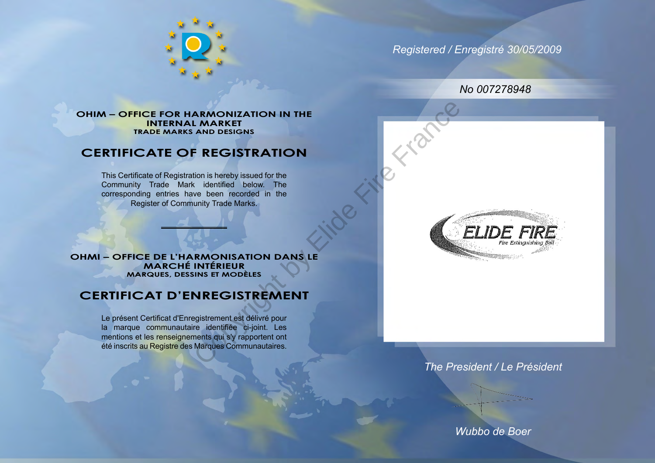

*Registered / Enregistré 30/05/2009*

*No 007278948*

#### **OHIM – OFFICE FOR HARMONIZATION IN THE INTERNAL MARKET TRADE MARKS AND DESIGNS**

# **CERTIFICATE OF REGISTRATION**

This Certificate of Registration is hereby issued for the Community Trade Mark identified below. The corresponding entries have been recorded in the Register of Community Trade Marks.

**OHMI – OFFICE DE L'HARMONISATION DANS LE MARCHÉ INTÉRIEUR MARQUES, DESSINS ET MODÈLES**

# **CERTIFICAT D'ENREGISTREMENT**

Le présent Certificat d'Enregistrement est délivré pour la marque communautaire identifiée ci-joint. Les mentions et les renseignements qui s'y rapportent ont été inscrits au Registre des Marques Communautaires. ARMONIZATION IN THE<br>
LMARKET<br>
AND DESIGNS<br>
FREGISTRATION<br>
tion is hereby issued for the<br>
ve been recorded in the<br>
ve been recorded in the<br>
unity Trade Marks.<br>
NREGISTREMENT<br>
INTÉRIEUR<br>
INS ET MODÈLES<br>
NREGISTREMENT<br>
regist



## *The President / Le Président*

*Wubbo de Boer*